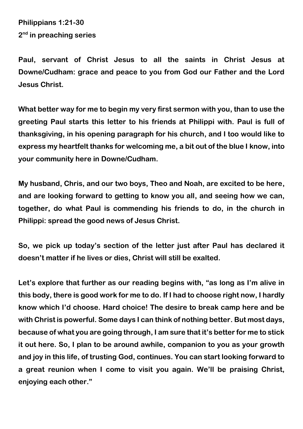**Philippians 1:21-30 2 nd in preaching series**

**Paul, servant of Christ Jesus to all the saints in Christ Jesus at Downe/Cudham: grace and peace to you from God our Father and the Lord Jesus Christ.**

**What better way for me to begin my very first sermon with you, than to use the greeting Paul starts this letter to his friends at Philippi with. Paul is full of thanksgiving, in his opening paragraph for his church, and I too would like to express my heartfelt thanks for welcoming me, a bit out of the blue I know, into your community here in Downe/Cudham.** 

**My husband, Chris, and our two boys, Theo and Noah, are excited to be here, and are looking forward to getting to know you all, and seeing how we can, together, do what Paul is commending his friends to do, in the church in Philippi: spread the good news of Jesus Christ.**

**So, we pick up today's section of the letter just after Paul has declared it doesn't matter if he lives or dies, Christ will still be exalted.**

**Let's explore that further as our reading begins with, "as long as I'm alive in this body, there is good work for me to do. If I had to choose right now, I hardly know which I'd choose. Hard choice! The desire to break camp here and be with Christ is powerful. Some days I can think of nothing better. But most days, because of what you are going through, I am sure that it's better for me to stick it out here. So, I plan to be around awhile, companion to you as your growth and joy in this life, of trusting God, continues. You can start looking forward to a great reunion when I come to visit you again. We'll be praising Christ, enjoying each other."**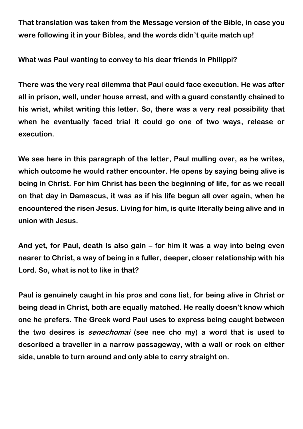**That translation was taken from the Message version of the Bible, in case you were following it in your Bibles, and the words didn't quite match up!**

**What was Paul wanting to convey to his dear friends in Philippi?**

**There was the very real dilemma that Paul could face execution. He was after all in prison, well, under house arrest, and with a guard constantly chained to his wrist, whilst writing this letter. So, there was a very real possibility that when he eventually faced trial it could go one of two ways, release or execution.** 

**We see here in this paragraph of the letter, Paul mulling over, as he writes, which outcome he would rather encounter. He opens by saying being alive is being in Christ. For him Christ has been the beginning of life, for as we recall on that day in Damascus, it was as if his life begun all over again, when he encountered the risen Jesus. Living for him, is quite literally being alive and in union with Jesus.**

**And yet, for Paul, death is also gain – for him it was a way into being even nearer to Christ, a way of being in a fuller, deeper, closer relationship with his Lord. So, what is not to like in that?**

**Paul is genuinely caught in his pros and cons list, for being alive in Christ or being dead in Christ, both are equally matched. He really doesn't know which one he prefers. The Greek word Paul uses to express being caught between the two desires is senechomai (see nee cho my) a word that is used to described a traveller in a narrow passageway, with a wall or rock on either side, unable to turn around and only able to carry straight on.**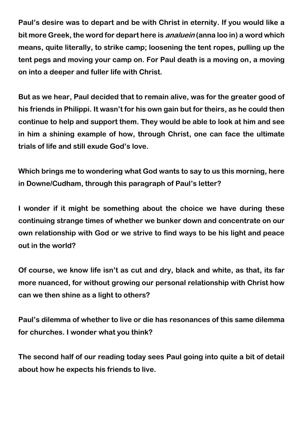**Paul's desire was to depart and be with Christ in eternity. If you would like a bit more Greek, the word for depart here is analuein (anna loo in) a word which means, quite literally, to strike camp; loosening the tent ropes, pulling up the tent pegs and moving your camp on. For Paul death is a moving on, a moving on into a deeper and fuller life with Christ.**

**But as we hear, Paul decided that to remain alive, was for the greater good of his friends in Philippi. It wasn't for his own gain but for theirs, as he could then continue to help and support them. They would be able to look at him and see in him a shining example of how, through Christ, one can face the ultimate trials of life and still exude God's love.**

**Which brings me to wondering what God wants to say to us this morning, here in Downe/Cudham, through this paragraph of Paul's letter?**

**I wonder if it might be something about the choice we have during these continuing strange times of whether we bunker down and concentrate on our own relationship with God or we strive to find ways to be his light and peace out in the world?**

**Of course, we know life isn't as cut and dry, black and white, as that, its far more nuanced, for without growing our personal relationship with Christ how can we then shine as a light to others?** 

**Paul's dilemma of whether to live or die has resonances of this same dilemma for churches. I wonder what you think?** 

**The second half of our reading today sees Paul going into quite a bit of detail about how he expects his friends to live.**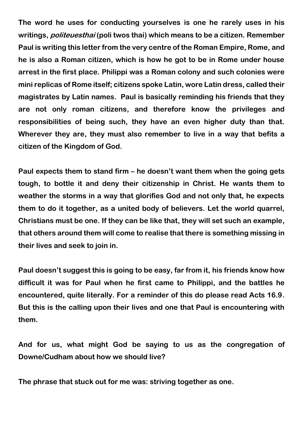**The word he uses for conducting yourselves is one he rarely uses in his writings, politeuesthai (poli twos thai) which means to be a citizen. Remember Paul is writing this letter from the very centre of the Roman Empire, Rome, and he is also a Roman citizen, which is how he got to be in Rome under house arrest in the first place. Philippi was a Roman colony and such colonies were mini replicas of Rome itself; citizens spoke Latin, wore Latin dress, called their magistrates by Latin names. Paul is basically reminding his friends that they are not only roman citizens, and therefore know the privileges and responsibilities of being such, they have an even higher duty than that. Wherever they are, they must also remember to live in a way that befits a citizen of the Kingdom of God.**

**Paul expects them to stand firm – he doesn't want them when the going gets tough, to bottle it and deny their citizenship in Christ. He wants them to weather the storms in a way that glorifies God and not only that, he expects them to do it together, as a united body of believers. Let the world quarrel, Christians must be one. If they can be like that, they will set such an example, that others around them will come to realise that there is something missing in their lives and seek to join in.**

**Paul doesn't suggest this is going to be easy, far from it, his friends know how difficult it was for Paul when he first came to Philippi, and the battles he encountered, quite literally. For a reminder of this do please read Acts 16.9. But this is the calling upon their lives and one that Paul is encountering with them.**

**And for us, what might God be saying to us as the congregation of Downe/Cudham about how we should live?**

**The phrase that stuck out for me was: striving together as one.**